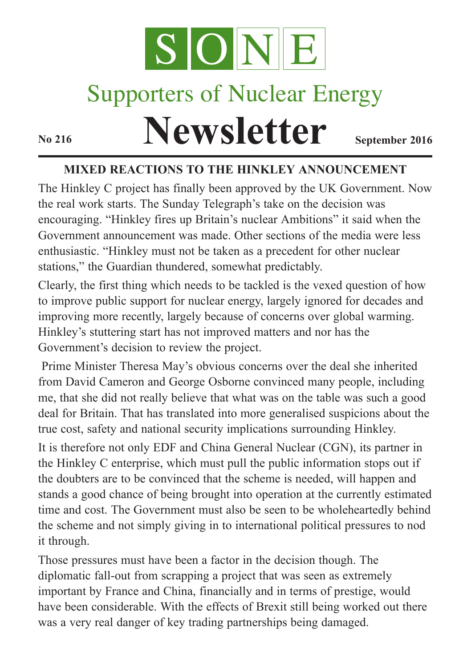

## Supporters of Nuclear Energy

# **Newsletter September** 2016

#### **MIXED REACTIONS TO THE HINKLEY ANNOUNCEMENT**

The Hinkley C project has finally been approved by the UK Government. Now the real work starts. The Sunday Telegraph's take on the decision was encouraging. "Hinkley fires up Britain's nuclear Ambitions" it said when the Government announcement was made. Other sections of the media were less enthusiastic. "Hinkley must not be taken as a precedent for other nuclear stations," the Guardian thundered, somewhat predictably.

Clearly, the first thing which needs to be tackled is the vexed question of how to improve public support for nuclear energy, largely ignored for decades and improving more recently, largely because of concerns over global warming. Hinkley's stuttering start has not improved matters and nor has the Government's decision to review the project.

Prime Minister Theresa May's obvious concerns over the deal she inherited from David Cameron and George Osborne convinced many people, including me, that she did not really believe that what was on the table was such a good deal for Britain. That has translated into more generalised suspicions about the true cost, safety and national security implications surrounding Hinkley.

It is therefore not only EDF and China General Nuclear (CGN), its partner in the Hinkley C enterprise, which must pull the public information stops out if the doubters are to be convinced that the scheme is needed, will happen and stands a good chance of being brought into operation at the currently estimated time and cost. The Government must also be seen to be wholeheartedly behind the scheme and not simply giving in to international political pressures to nod it through.

Those pressures must have been a factor in the decision though. The diplomatic fall-out from scrapping a project that was seen as extremely important by France and China, financially and in terms of prestige, would have been considerable. With the effects of Brexit still being worked out there was a very real danger of key trading partnerships being damaged.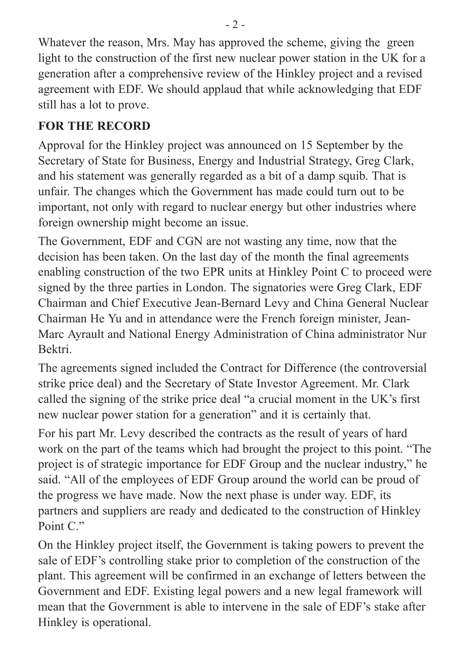Whatever the reason, Mrs. May has approved the scheme, giving the green light to the construction of the first new nuclear power station in the UK for a generation after a comprehensive review of the Hinkley project and a revised agreement with EDF. We should applaud that while acknowledging that EDF still has a lot to prove.

#### **FOR THE RECORD**

Approval for the Hinkley project was announced on 15 September by the Secretary of State for Business, Energy and Industrial Strategy, Greg Clark, and his statement was generally regarded as a bit of a damp squib. That is unfair. The changes which the Government has made could turn out to be important, not only with regard to nuclear energy but other industries where foreign ownership might become an issue.

The Government, EDF and CGN are not wasting any time, now that the decision has been taken. On the last day of the month the final agreements enabling construction of the two EPR units at Hinkley Point C to proceed were signed by the three parties in London. The signatories were Greg Clark, EDF Chairman and Chief Executive Jean-Bernard Levy and China General Nuclear Chairman He Yu and in attendance were the French foreign minister, Jean-Marc Ayrault and National Energy Administration of China administrator Nur Bektri.

The agreements signed included the Contract for Difference (the controversial strike price deal) and the Secretary of State Investor Agreement. Mr. Clark called the signing of the strike price deal "a crucial moment in the UK's first new nuclear power station for a generation" and it is certainly that.

For his part Mr. Levy described the contracts as the result of years of hard work on the part of the teams which had brought the project to this point. "The project is of strategic importance for EDF Group and the nuclear industry," he said. "All of the employees of EDF Group around the world can be proud of the progress we have made. Now the next phase is under way. EDF, its partners and suppliers are ready and dedicated to the construction of Hinkley Point C<sup>"</sup>

On the Hinkley project itself, the Government is taking powers to prevent the sale of EDF's controlling stake prior to completion of the construction of the plant. This agreement will be confirmed in an exchange of letters between the Government and EDF. Existing legal powers and a new legal framework will mean that the Government is able to intervene in the sale of EDF's stake after Hinkley is operational.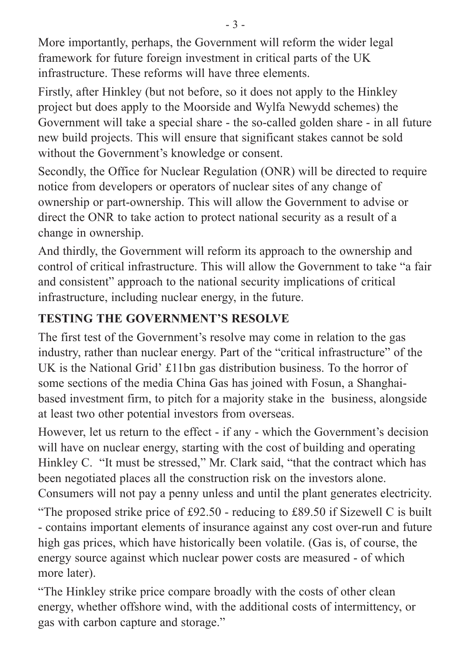More importantly, perhaps, the Government will reform the wider legal framework for future foreign investment in critical parts of the UK infrastructure. These reforms will have three elements.

Firstly, after Hinkley (but not before, so it does not apply to the Hinkley project but does apply to the Moorside and Wylfa Newydd schemes) the Government will take a special share - the so-called golden share - in all future new build projects. This will ensure that significant stakes cannot be sold without the Government's knowledge or consent.

Secondly, the Office for Nuclear Regulation (ONR) will be directed to require notice from developers or operators of nuclear sites of any change of ownership or part-ownership. This will allow the Government to advise or direct the ONR to take action to protect national security as a result of a change in ownership.

And thirdly, the Government will reform its approach to the ownership and control of critical infrastructure. This will allow the Government to take "a fair and consistent" approach to the national security implications of critical infrastructure, including nuclear energy, in the future.

#### **TESTING THE GOVERNMENT'S RESOLVE**

The first test of the Government's resolve may come in relation to the gas industry, rather than nuclear energy. Part of the "critical infrastructure" of the UK is the National Grid' £11bn gas distribution business. To the horror of some sections of the media China Gas has joined with Fosun, a Shanghaibased investment firm, to pitch for a majority stake in the business, alongside at least two other potential investors from overseas.

However, let us return to the effect - if any - which the Government's decision will have on nuclear energy, starting with the cost of building and operating Hinkley C. "It must be stressed," Mr. Clark said, "that the contract which has been negotiated places all the construction risk on the investors alone. Consumers will not pay a penny unless and until the plant generates electricity.

"The proposed strike price of £92.50 - reducing to £89.50 if Sizewell C is built - contains important elements of insurance against any cost over-run and future high gas prices, which have historically been volatile. (Gas is, of course, the energy source against which nuclear power costs are measured - of which more later).

"The Hinkley strike price compare broadly with the costs of other clean energy, whether offshore wind, with the additional costs of intermittency, or gas with carbon capture and storage."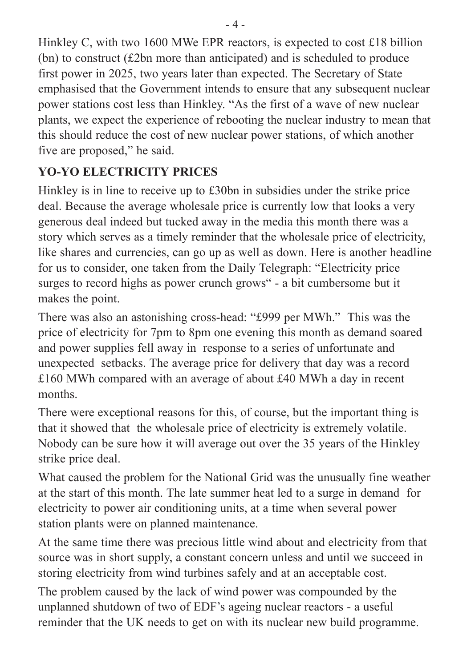Hinkley C, with two 1600 MWe EPR reactors, is expected to cost £18 billion (bn) to construct (£2bn more than anticipated) and is scheduled to produce first power in 2025, two years later than expected. The Secretary of State emphasised that the Government intends to ensure that any subsequent nuclear power stations cost less than Hinkley. "As the first of a wave of new nuclear plants, we expect the experience of rebooting the nuclear industry to mean that this should reduce the cost of new nuclear power stations, of which another five are proposed," he said.

### **YO-YO ELECTRICITY PRICES**

Hinkley is in line to receive up to £30bn in subsidies under the strike price deal. Because the average wholesale price is currently low that looks a very generous deal indeed but tucked away in the media this month there was a story which serves as a timely reminder that the wholesale price of electricity, like shares and currencies, can go up as well as down. Here is another headline for us to consider, one taken from the Daily Telegraph: "Electricity price surges to record highs as power crunch grows" - a bit cumbersome but it makes the point.

There was also an astonishing cross-head: "£999 per MWh." This was the price of electricity for 7pm to 8pm one evening this month as demand soared and power supplies fell away in response to a series of unfortunate and unexpected setbacks. The average price for delivery that day was a record £160 MWh compared with an average of about £40 MWh a day in recent months.

There were exceptional reasons for this, of course, but the important thing is that it showed that the wholesale price of electricity is extremely volatile. Nobody can be sure how it will average out over the 35 years of the Hinkley strike price deal.

What caused the problem for the National Grid was the unusually fine weather at the start of this month. The late summer heat led to a surge in demand for electricity to power air conditioning units, at a time when several power station plants were on planned maintenance.

At the same time there was precious little wind about and electricity from that source was in short supply, a constant concern unless and until we succeed in storing electricity from wind turbines safely and at an acceptable cost.

The problem caused by the lack of wind power was compounded by the unplanned shutdown of two of EDF's ageing nuclear reactors - a useful reminder that the UK needs to get on with its nuclear new build programme.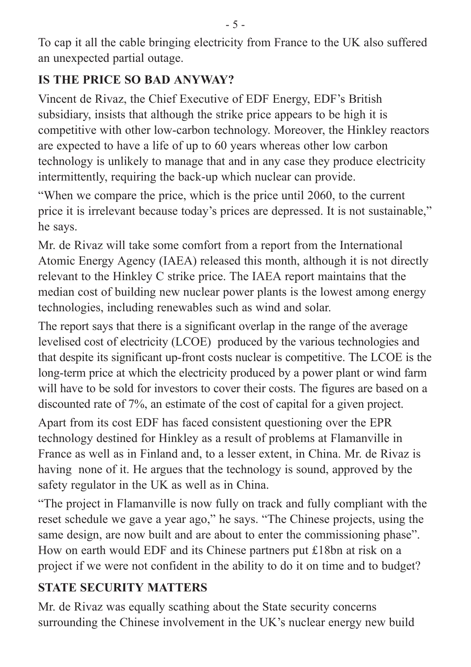To cap it all the cable bringing electricity from France to the UK also suffered an unexpected partial outage.

#### **IS THE PRICE SO BAD ANYWAY?**

Vincent de Rivaz, the Chief Executive of EDF Energy, EDF's British subsidiary, insists that although the strike price appears to be high it is competitive with other low-carbon technology. Moreover, the Hinkley reactors are expected to have a life of up to 60 years whereas other low carbon technology is unlikely to manage that and in any case they produce electricity intermittently, requiring the back-up which nuclear can provide.

"When we compare the price, which is the price until 2060, to the current price it is irrelevant because today's prices are depressed. It is not sustainable," he says.

Mr. de Rivaz will take some comfort from a report from the International Atomic Energy Agency (IAEA) released this month, although it is not directly relevant to the Hinkley C strike price. The IAEA report maintains that the median cost of building new nuclear power plants is the lowest among energy technologies, including renewables such as wind and solar.

The report says that there is a significant overlap in the range of the average levelised cost of electricity (LCOE) produced by the various technologies and that despite its significant up-front costs nuclear is competitive. The LCOE is the long-term price at which the electricity produced by a power plant or wind farm will have to be sold for investors to cover their costs. The figures are based on a discounted rate of 7%, an estimate of the cost of capital for a given project.

Apart from its cost EDF has faced consistent questioning over the EPR technology destined for Hinkley as a result of problems at Flamanville in France as well as in Finland and, to a lesser extent, in China. Mr. de Rivaz is having none of it. He argues that the technology is sound, approved by the safety regulator in the UK as well as in China.

"The project in Flamanville is now fully on track and fully compliant with the reset schedule we gave a year ago," he says. "The Chinese projects, using the same design, are now built and are about to enter the commissioning phase". How on earth would EDF and its Chinese partners put £18bn at risk on a project if we were not confident in the ability to do it on time and to budget?

#### **STATE SECURITY MATTERS**

Mr. de Rivaz was equally scathing about the State security concerns surrounding the Chinese involvement in the UK's nuclear energy new build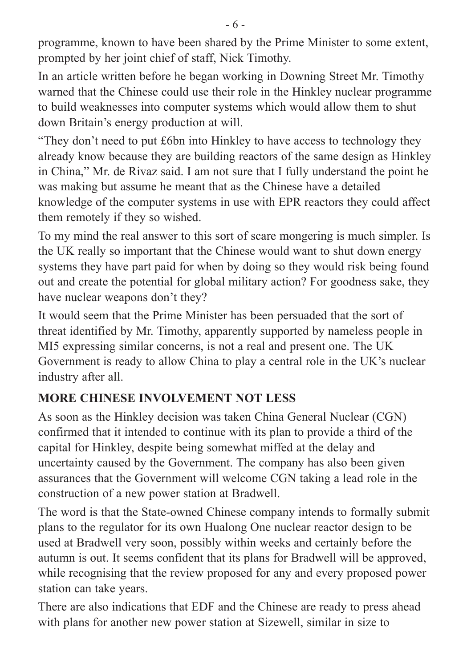programme, known to have been shared by the Prime Minister to some extent, prompted by her joint chief of staff, Nick Timothy.

In an article written before he began working in Downing Street Mr. Timothy warned that the Chinese could use their role in the Hinkley nuclear programme to build weaknesses into computer systems which would allow them to shut down Britain's energy production at will.

"They don't need to put £6bn into Hinkley to have access to technology they already know because they are building reactors of the same design as Hinkley in China," Mr. de Rivaz said. I am not sure that I fully understand the point he was making but assume he meant that as the Chinese have a detailed knowledge of the computer systems in use with EPR reactors they could affect them remotely if they so wished.

To my mind the real answer to this sort of scare mongering is much simpler. Is the UK really so important that the Chinese would want to shut down energy systems they have part paid for when by doing so they would risk being found out and create the potential for global military action? For goodness sake, they have nuclear weapons don't they?

It would seem that the Prime Minister has been persuaded that the sort of threat identified by Mr. Timothy, apparently supported by nameless people in MI5 expressing similar concerns, is not a real and present one. The UK Government is ready to allow China to play a central role in the UK's nuclear industry after all.

#### **MORE CHINESE INVOLVEMENT NOT LESS**

As soon as the Hinkley decision was taken China General Nuclear (CGN) confirmed that it intended to continue with its plan to provide a third of the capital for Hinkley, despite being somewhat miffed at the delay and uncertainty caused by the Government. The company has also been given assurances that the Government will welcome CGN taking a lead role in the construction of a new power station at Bradwell.

The word is that the State-owned Chinese company intends to formally submit plans to the regulator for its own Hualong One nuclear reactor design to be used at Bradwell very soon, possibly within weeks and certainly before the autumn is out. It seems confident that its plans for Bradwell will be approved, while recognising that the review proposed for any and every proposed power station can take years.

There are also indications that EDF and the Chinese are ready to press ahead with plans for another new power station at Sizewell, similar in size to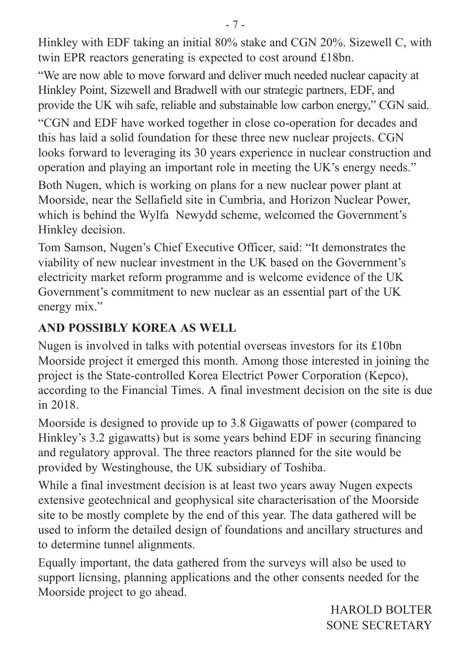Hinkley with EDF taking an initial 80% stake and CGN 20%. Sizewell C, with twin EPR reactors generating is expected to cost around £18bn.

"We are now able to move forward and deliver much needed nuclear capacity at Hinkley Point, Sizewell and Bradwell with our strategic partners, EDF, and provide the UK wih safe, reliable and substainable low carbon energy," CGN said.

"CGN and EDF have worked together in close co-operation for decades and this has laid a solid foundation for these three new nuclear projects. CGN looks forward to leveraging its 30 years experience in nuclear construction and operation and playing an important role in meeting the UK's energy needs."

Both Nugen, which is working on plans for a new nuclear power plant at Moorside, near the Sellafield site in Cumbria, and Horizon Nuclear Power, which is behind the Wylfa Newydd scheme, welcomed the Government's Hinkley decision.

Tom Samson, Nugen's Chief Executive Officer, said: "It demonstrates the viability of new nuclear investment in the UK based on the Government's electricity market reform programme and is welcome evidence of the UK Government's commitment to new nuclear as an essential part of the UK energy mix."

#### **AND POSSIBLY KOREA AS WELL**

Nugen is involved in talks with potential overseas investors for its £10bn Moorside project it emerged this month. Among those interested in joining the project is the State-controlled Korea Electrict Power Corporation (Kepco), according to the Financial Times. A final investment decision on the site is due in 2018.

Moorside is designed to provide up to 3.8 Gigawatts of power (compared to Hinkley's 3.2 gigawatts) but is some years behind EDF in securing financing and regulatory approval. The three reactors planned for the site would be provided by Westinghouse, the UK subsidiary of Toshiba.

While a final investment decision is at least two years away Nugen expects extensive geotechnical and geophysical site characterisation of the Moorside site to be mostly complete by the end of this year. The data gathered will be used to inform the detailed design of foundations and ancillary structures and to determine tunnel alignments.

Equally important, the data gathered from the surveys will also be used to support licnsing, planning applications and the other consents needed for the Moorside project to go ahead.

> HAROLD BOLTER SONE SECRETARY